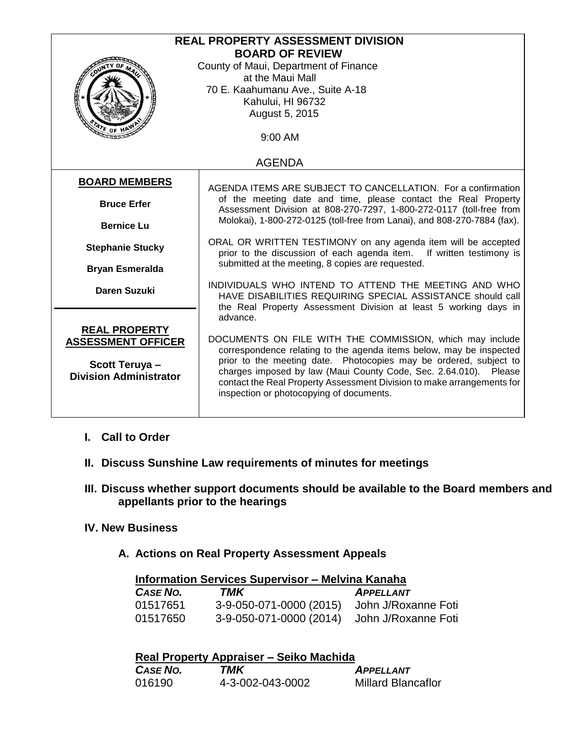| <b>REAL PROPERTY ASSESSMENT DIVISION</b>                                     |                                                                                                                                          |  |  |  |
|------------------------------------------------------------------------------|------------------------------------------------------------------------------------------------------------------------------------------|--|--|--|
|                                                                              | <b>BOARD OF REVIEW</b>                                                                                                                   |  |  |  |
|                                                                              | County of Maui, Department of Finance                                                                                                    |  |  |  |
|                                                                              | at the Maui Mall                                                                                                                         |  |  |  |
| <b>Control 100</b>                                                           | 70 E. Kaahumanu Ave., Suite A-18                                                                                                         |  |  |  |
|                                                                              | Kahului, HI 96732                                                                                                                        |  |  |  |
|                                                                              | August 5, 2015                                                                                                                           |  |  |  |
| ATE OF HI                                                                    |                                                                                                                                          |  |  |  |
|                                                                              | 9:00 AM                                                                                                                                  |  |  |  |
|                                                                              |                                                                                                                                          |  |  |  |
|                                                                              | <b>AGENDA</b>                                                                                                                            |  |  |  |
| <b>BOARD MEMBERS</b>                                                         |                                                                                                                                          |  |  |  |
|                                                                              | AGENDA ITEMS ARE SUBJECT TO CANCELLATION. For a confirmation                                                                             |  |  |  |
| <b>Bruce Erfer</b>                                                           | of the meeting date and time, please contact the Real Property<br>Assessment Division at 808-270-7297, 1-800-272-0117 (toll-free from    |  |  |  |
| <b>Bernice Lu</b>                                                            | Molokai), 1-800-272-0125 (toll-free from Lanai), and 808-270-7884 (fax).                                                                 |  |  |  |
|                                                                              |                                                                                                                                          |  |  |  |
| <b>Stephanie Stucky</b>                                                      | ORAL OR WRITTEN TESTIMONY on any agenda item will be accepted<br>prior to the discussion of each agenda item.<br>If written testimony is |  |  |  |
|                                                                              | submitted at the meeting, 8 copies are requested.                                                                                        |  |  |  |
| <b>Bryan Esmeralda</b>                                                       |                                                                                                                                          |  |  |  |
| <b>Daren Suzuki</b>                                                          | INDIVIDUALS WHO INTEND TO ATTEND THE MEETING AND WHO                                                                                     |  |  |  |
|                                                                              | HAVE DISABILITIES REQUIRING SPECIAL ASSISTANCE should call                                                                               |  |  |  |
| the Real Property Assessment Division at least 5 working days in<br>advance. |                                                                                                                                          |  |  |  |
| <b>REAL PROPERTY</b>                                                         |                                                                                                                                          |  |  |  |
| <b>ASSESSMENT OFFICER</b>                                                    | DOCUMENTS ON FILE WITH THE COMMISSION, which may include                                                                                 |  |  |  |
|                                                                              | correspondence relating to the agenda items below, may be inspected                                                                      |  |  |  |
| Scott Teruya-                                                                | prior to the meeting date. Photocopies may be ordered, subject to                                                                        |  |  |  |
| <b>Division Administrator</b>                                                | charges imposed by law (Maui County Code, Sec. 2.64.010). Please                                                                         |  |  |  |
|                                                                              | contact the Real Property Assessment Division to make arrangements for                                                                   |  |  |  |
|                                                                              | inspection or photocopying of documents.                                                                                                 |  |  |  |
|                                                                              |                                                                                                                                          |  |  |  |

- **I. Call to Order**
- **II. Discuss Sunshine Law requirements of minutes for meetings**
- **III. Discuss whether support documents should be available to the Board members and appellants prior to the hearings**
- **IV. New Business**
	- **A. Actions on Real Property Assessment Appeals**

| <b>Information Services Supervisor - Melvina Kanaha</b> |                                             |                     |  |
|---------------------------------------------------------|---------------------------------------------|---------------------|--|
| <b>CASE NO.</b>                                         | TMK                                         | <b>APPELLANT</b>    |  |
| 01517651                                                | 3-9-050-071-0000 (2015)                     | John J/Roxanne Foti |  |
| 01517650                                                | 3-9-050-071-0000 (2014) John J/Roxanne Foti |                     |  |

| Real Property Appraiser – Seiko Machida |                  |                           |  |
|-----------------------------------------|------------------|---------------------------|--|
| <b>CASE NO.</b>                         | TMK              | <b>APPELLANT</b>          |  |
| 016190                                  | 4-3-002-043-0002 | <b>Millard Blancaflor</b> |  |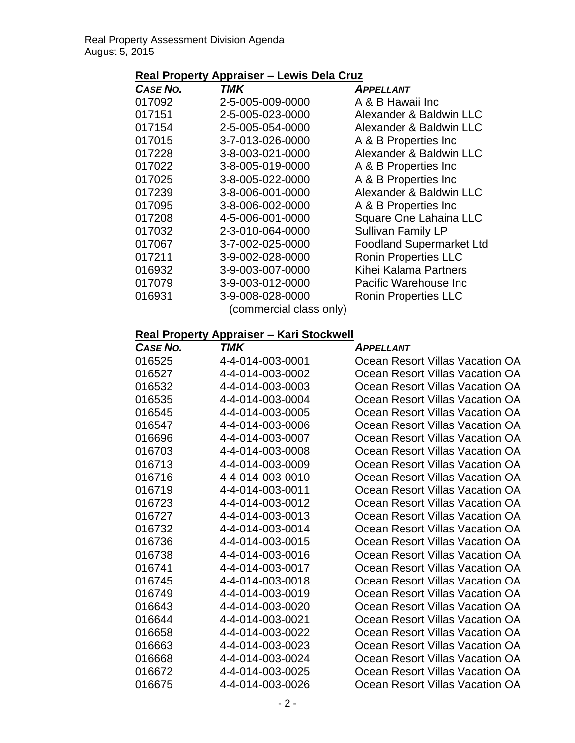### **Real Property Appraiser – Lewis Dela Cruz**

| <b>CASE NO.</b> | TMK                     | <b>APPELLANT</b>                |
|-----------------|-------------------------|---------------------------------|
| 017092          | 2-5-005-009-0000        | A & B Hawaii Inc                |
| 017151          | 2-5-005-023-0000        | Alexander & Baldwin LLC         |
| 017154          | 2-5-005-054-0000        | Alexander & Baldwin LLC         |
| 017015          | 3-7-013-026-0000        | A & B Properties Inc            |
| 017228          | 3-8-003-021-0000        | Alexander & Baldwin LLC         |
| 017022          | 3-8-005-019-0000        | A & B Properties Inc            |
| 017025          | 3-8-005-022-0000        | A & B Properties Inc            |
| 017239          | 3-8-006-001-0000        | Alexander & Baldwin LLC         |
| 017095          | 3-8-006-002-0000        | A & B Properties Inc            |
| 017208          | 4-5-006-001-0000        | Square One Lahaina LLC          |
| 017032          | 2-3-010-064-0000        | Sullivan Family LP              |
| 017067          | 3-7-002-025-0000        | <b>Foodland Supermarket Ltd</b> |
| 017211          | 3-9-002-028-0000        | <b>Ronin Properties LLC</b>     |
| 016932          | 3-9-003-007-0000        | Kihei Kalama Partners           |
| 017079          | 3-9-003-012-0000        | Pacific Warehouse Inc           |
| 016931          | 3-9-008-028-0000        | <b>Ronin Properties LLC</b>     |
|                 | (commercial class only) |                                 |

| Case No. | TMK              | <b>APPELLANT</b>                |
|----------|------------------|---------------------------------|
| 016525   | 4-4-014-003-0001 | Ocean Resort Villas Vacation OA |
| 016527   | 4-4-014-003-0002 | Ocean Resort Villas Vacation OA |
| 016532   | 4-4-014-003-0003 | Ocean Resort Villas Vacation OA |
| 016535   | 4-4-014-003-0004 | Ocean Resort Villas Vacation OA |
| 016545   | 4-4-014-003-0005 | Ocean Resort Villas Vacation OA |
| 016547   | 4-4-014-003-0006 | Ocean Resort Villas Vacation OA |
| 016696   | 4-4-014-003-0007 | Ocean Resort Villas Vacation OA |
| 016703   | 4-4-014-003-0008 | Ocean Resort Villas Vacation OA |
| 016713   | 4-4-014-003-0009 | Ocean Resort Villas Vacation OA |
| 016716   | 4-4-014-003-0010 | Ocean Resort Villas Vacation OA |
| 016719   | 4-4-014-003-0011 | Ocean Resort Villas Vacation OA |
| 016723   | 4-4-014-003-0012 | Ocean Resort Villas Vacation OA |
| 016727   | 4-4-014-003-0013 | Ocean Resort Villas Vacation OA |
| 016732   | 4-4-014-003-0014 | Ocean Resort Villas Vacation OA |
| 016736   | 4-4-014-003-0015 | Ocean Resort Villas Vacation OA |
| 016738   | 4-4-014-003-0016 | Ocean Resort Villas Vacation OA |
| 016741   | 4-4-014-003-0017 | Ocean Resort Villas Vacation OA |
| 016745   | 4-4-014-003-0018 | Ocean Resort Villas Vacation OA |
| 016749   | 4-4-014-003-0019 | Ocean Resort Villas Vacation OA |
| 016643   | 4-4-014-003-0020 | Ocean Resort Villas Vacation OA |
| 016644   | 4-4-014-003-0021 | Ocean Resort Villas Vacation OA |
| 016658   | 4-4-014-003-0022 | Ocean Resort Villas Vacation OA |
| 016663   | 4-4-014-003-0023 | Ocean Resort Villas Vacation OA |
| 016668   | 4-4-014-003-0024 | Ocean Resort Villas Vacation OA |
| 016672   | 4-4-014-003-0025 | Ocean Resort Villas Vacation OA |
| 016675   | 4-4-014-003-0026 | Ocean Resort Villas Vacation OA |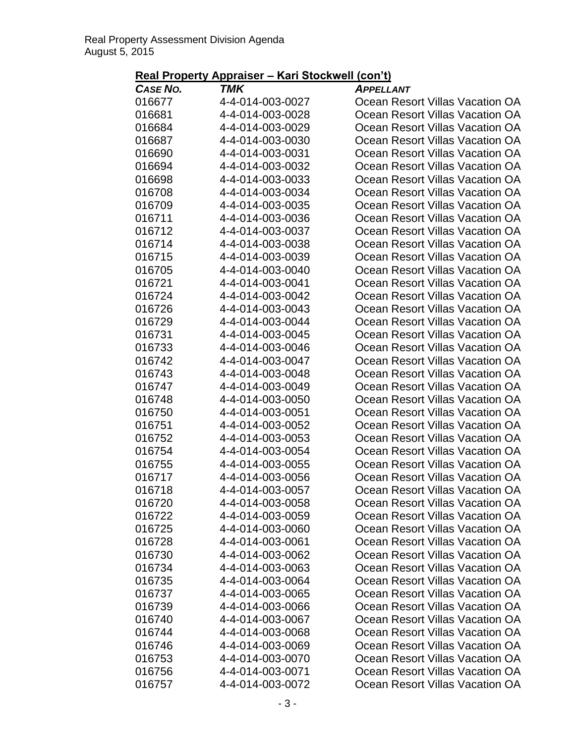| <b>CASE NO.</b> | TMK              | <b>APPELLANT</b>                |
|-----------------|------------------|---------------------------------|
| 016677          | 4-4-014-003-0027 | Ocean Resort Villas Vacation OA |
| 016681          | 4-4-014-003-0028 | Ocean Resort Villas Vacation OA |
| 016684          | 4-4-014-003-0029 | Ocean Resort Villas Vacation OA |
| 016687          | 4-4-014-003-0030 | Ocean Resort Villas Vacation OA |
| 016690          | 4-4-014-003-0031 | Ocean Resort Villas Vacation OA |
| 016694          | 4-4-014-003-0032 | Ocean Resort Villas Vacation OA |
| 016698          | 4-4-014-003-0033 | Ocean Resort Villas Vacation OA |
| 016708          | 4-4-014-003-0034 | Ocean Resort Villas Vacation OA |
| 016709          | 4-4-014-003-0035 | Ocean Resort Villas Vacation OA |
| 016711          | 4-4-014-003-0036 | Ocean Resort Villas Vacation OA |
| 016712          | 4-4-014-003-0037 | Ocean Resort Villas Vacation OA |
| 016714          | 4-4-014-003-0038 | Ocean Resort Villas Vacation OA |
| 016715          | 4-4-014-003-0039 | Ocean Resort Villas Vacation OA |
| 016705          | 4-4-014-003-0040 | Ocean Resort Villas Vacation OA |
| 016721          | 4-4-014-003-0041 | Ocean Resort Villas Vacation OA |
| 016724          | 4-4-014-003-0042 | Ocean Resort Villas Vacation OA |
| 016726          | 4-4-014-003-0043 | Ocean Resort Villas Vacation OA |
| 016729          | 4-4-014-003-0044 | Ocean Resort Villas Vacation OA |
| 016731          | 4-4-014-003-0045 | Ocean Resort Villas Vacation OA |
| 016733          | 4-4-014-003-0046 | Ocean Resort Villas Vacation OA |
| 016742          | 4-4-014-003-0047 | Ocean Resort Villas Vacation OA |
| 016743          | 4-4-014-003-0048 | Ocean Resort Villas Vacation OA |
| 016747          | 4-4-014-003-0049 | Ocean Resort Villas Vacation OA |
| 016748          | 4-4-014-003-0050 | Ocean Resort Villas Vacation OA |
| 016750          | 4-4-014-003-0051 | Ocean Resort Villas Vacation OA |
| 016751          | 4-4-014-003-0052 | Ocean Resort Villas Vacation OA |
| 016752          | 4-4-014-003-0053 | Ocean Resort Villas Vacation OA |
| 016754          | 4-4-014-003-0054 | Ocean Resort Villas Vacation OA |
| 016755          | 4-4-014-003-0055 | Ocean Resort Villas Vacation OA |
| 016717          | 4-4-014-003-0056 | Ocean Resort Villas Vacation OA |
| 016718          | 4-4-014-003-0057 | Ocean Resort Villas Vacation OA |
| 016720          | 4-4-014-003-0058 | Ocean Resort Villas Vacation OA |
| 016722          | 4-4-014-003-0059 | Ocean Resort Villas Vacation OA |
| 016725          | 4-4-014-003-0060 | Ocean Resort Villas Vacation OA |
| 016728          | 4-4-014-003-0061 | Ocean Resort Villas Vacation OA |
| 016730          | 4-4-014-003-0062 | Ocean Resort Villas Vacation OA |
| 016734          | 4-4-014-003-0063 | Ocean Resort Villas Vacation OA |
| 016735          | 4-4-014-003-0064 | Ocean Resort Villas Vacation OA |
| 016737          | 4-4-014-003-0065 | Ocean Resort Villas Vacation OA |
| 016739          | 4-4-014-003-0066 | Ocean Resort Villas Vacation OA |
| 016740          | 4-4-014-003-0067 | Ocean Resort Villas Vacation OA |
| 016744          | 4-4-014-003-0068 | Ocean Resort Villas Vacation OA |
| 016746          | 4-4-014-003-0069 | Ocean Resort Villas Vacation OA |
| 016753          | 4-4-014-003-0070 | Ocean Resort Villas Vacation OA |
| 016756          | 4-4-014-003-0071 | Ocean Resort Villas Vacation OA |
| 016757          | 4-4-014-003-0072 | Ocean Resort Villas Vacation OA |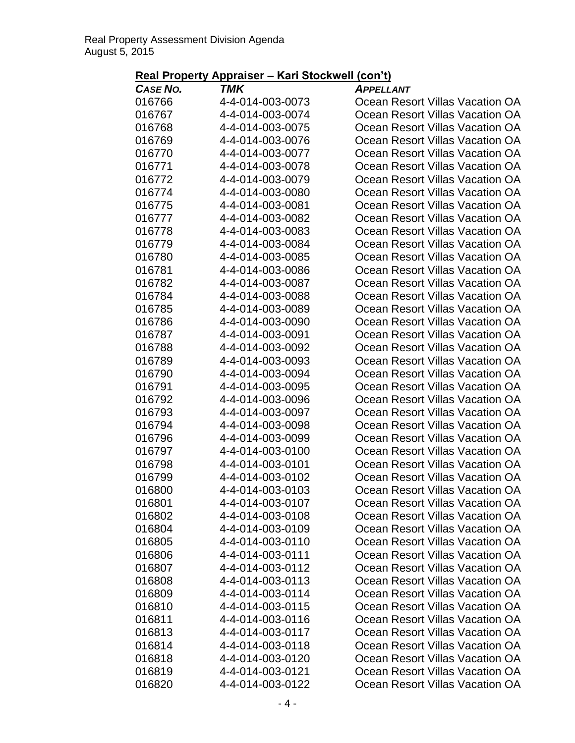| <b>CASE NO.</b> | TMK              | <b>APPELLANT</b>                |
|-----------------|------------------|---------------------------------|
| 016766          | 4-4-014-003-0073 | Ocean Resort Villas Vacation OA |
| 016767          | 4-4-014-003-0074 | Ocean Resort Villas Vacation OA |
| 016768          | 4-4-014-003-0075 | Ocean Resort Villas Vacation OA |
| 016769          | 4-4-014-003-0076 | Ocean Resort Villas Vacation OA |
| 016770          | 4-4-014-003-0077 | Ocean Resort Villas Vacation OA |
| 016771          | 4-4-014-003-0078 | Ocean Resort Villas Vacation OA |
| 016772          | 4-4-014-003-0079 | Ocean Resort Villas Vacation OA |
| 016774          | 4-4-014-003-0080 | Ocean Resort Villas Vacation OA |
| 016775          | 4-4-014-003-0081 | Ocean Resort Villas Vacation OA |
| 016777          | 4-4-014-003-0082 | Ocean Resort Villas Vacation OA |
| 016778          | 4-4-014-003-0083 | Ocean Resort Villas Vacation OA |
| 016779          | 4-4-014-003-0084 | Ocean Resort Villas Vacation OA |
| 016780          | 4-4-014-003-0085 | Ocean Resort Villas Vacation OA |
| 016781          | 4-4-014-003-0086 | Ocean Resort Villas Vacation OA |
| 016782          | 4-4-014-003-0087 | Ocean Resort Villas Vacation OA |
| 016784          | 4-4-014-003-0088 | Ocean Resort Villas Vacation OA |
| 016785          | 4-4-014-003-0089 | Ocean Resort Villas Vacation OA |
| 016786          | 4-4-014-003-0090 | Ocean Resort Villas Vacation OA |
| 016787          | 4-4-014-003-0091 | Ocean Resort Villas Vacation OA |
| 016788          | 4-4-014-003-0092 | Ocean Resort Villas Vacation OA |
| 016789          | 4-4-014-003-0093 | Ocean Resort Villas Vacation OA |
| 016790          | 4-4-014-003-0094 | Ocean Resort Villas Vacation OA |
| 016791          | 4-4-014-003-0095 | Ocean Resort Villas Vacation OA |
| 016792          | 4-4-014-003-0096 | Ocean Resort Villas Vacation OA |
| 016793          | 4-4-014-003-0097 | Ocean Resort Villas Vacation OA |
| 016794          | 4-4-014-003-0098 | Ocean Resort Villas Vacation OA |
| 016796          | 4-4-014-003-0099 | Ocean Resort Villas Vacation OA |
| 016797          | 4-4-014-003-0100 | Ocean Resort Villas Vacation OA |
| 016798          | 4-4-014-003-0101 | Ocean Resort Villas Vacation OA |
| 016799          | 4-4-014-003-0102 | Ocean Resort Villas Vacation OA |
| 016800          | 4-4-014-003-0103 | Ocean Resort Villas Vacation OA |
| 016801          | 4-4-014-003-0107 | Ocean Resort Villas Vacation OA |
| 016802          | 4-4-014-003-0108 | Ocean Resort Villas Vacation OA |
| 016804          | 4-4-014-003-0109 | Ocean Resort Villas Vacation OA |
| 016805          | 4-4-014-003-0110 | Ocean Resort Villas Vacation OA |
| 016806          | 4-4-014-003-0111 | Ocean Resort Villas Vacation OA |
| 016807          | 4-4-014-003-0112 | Ocean Resort Villas Vacation OA |
| 016808          | 4-4-014-003-0113 | Ocean Resort Villas Vacation OA |
| 016809          | 4-4-014-003-0114 | Ocean Resort Villas Vacation OA |
| 016810          | 4-4-014-003-0115 | Ocean Resort Villas Vacation OA |
| 016811          | 4-4-014-003-0116 | Ocean Resort Villas Vacation OA |
| 016813          | 4-4-014-003-0117 | Ocean Resort Villas Vacation OA |
| 016814          | 4-4-014-003-0118 | Ocean Resort Villas Vacation OA |
| 016818          | 4-4-014-003-0120 | Ocean Resort Villas Vacation OA |
| 016819          | 4-4-014-003-0121 | Ocean Resort Villas Vacation OA |
| 016820          | 4-4-014-003-0122 | Ocean Resort Villas Vacation OA |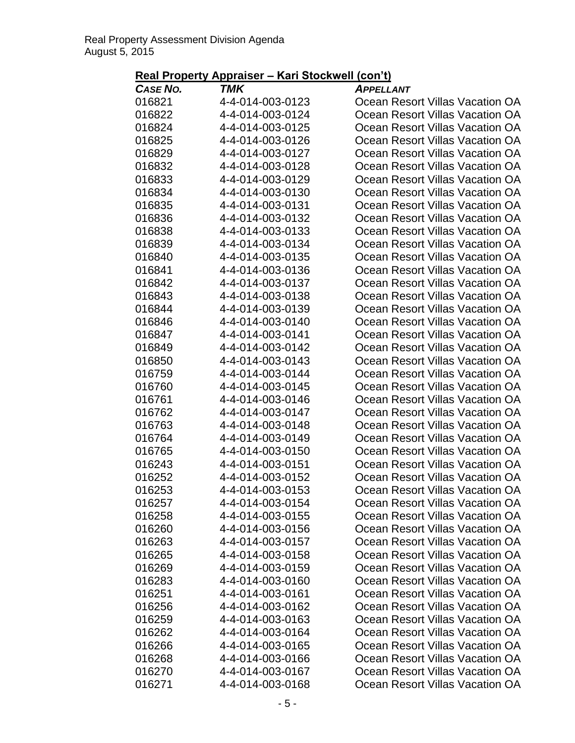| <b>CASE NO.</b> | TMK              | <b>APPELLANT</b>                |
|-----------------|------------------|---------------------------------|
| 016821          | 4-4-014-003-0123 | Ocean Resort Villas Vacation OA |
| 016822          | 4-4-014-003-0124 | Ocean Resort Villas Vacation OA |
| 016824          | 4-4-014-003-0125 | Ocean Resort Villas Vacation OA |
| 016825          | 4-4-014-003-0126 | Ocean Resort Villas Vacation OA |
| 016829          | 4-4-014-003-0127 | Ocean Resort Villas Vacation OA |
| 016832          | 4-4-014-003-0128 | Ocean Resort Villas Vacation OA |
| 016833          | 4-4-014-003-0129 | Ocean Resort Villas Vacation OA |
| 016834          | 4-4-014-003-0130 | Ocean Resort Villas Vacation OA |
| 016835          | 4-4-014-003-0131 | Ocean Resort Villas Vacation OA |
| 016836          | 4-4-014-003-0132 | Ocean Resort Villas Vacation OA |
| 016838          | 4-4-014-003-0133 | Ocean Resort Villas Vacation OA |
| 016839          | 4-4-014-003-0134 | Ocean Resort Villas Vacation OA |
| 016840          | 4-4-014-003-0135 | Ocean Resort Villas Vacation OA |
| 016841          | 4-4-014-003-0136 | Ocean Resort Villas Vacation OA |
| 016842          | 4-4-014-003-0137 | Ocean Resort Villas Vacation OA |
| 016843          | 4-4-014-003-0138 | Ocean Resort Villas Vacation OA |
| 016844          | 4-4-014-003-0139 | Ocean Resort Villas Vacation OA |
| 016846          | 4-4-014-003-0140 | Ocean Resort Villas Vacation OA |
| 016847          | 4-4-014-003-0141 | Ocean Resort Villas Vacation OA |
| 016849          | 4-4-014-003-0142 | Ocean Resort Villas Vacation OA |
| 016850          | 4-4-014-003-0143 | Ocean Resort Villas Vacation OA |
| 016759          | 4-4-014-003-0144 | Ocean Resort Villas Vacation OA |
| 016760          | 4-4-014-003-0145 | Ocean Resort Villas Vacation OA |
| 016761          | 4-4-014-003-0146 | Ocean Resort Villas Vacation OA |
| 016762          | 4-4-014-003-0147 | Ocean Resort Villas Vacation OA |
| 016763          | 4-4-014-003-0148 | Ocean Resort Villas Vacation OA |
| 016764          | 4-4-014-003-0149 | Ocean Resort Villas Vacation OA |
| 016765          | 4-4-014-003-0150 | Ocean Resort Villas Vacation OA |
| 016243          | 4-4-014-003-0151 | Ocean Resort Villas Vacation OA |
| 016252          | 4-4-014-003-0152 | Ocean Resort Villas Vacation OA |
| 016253          | 4-4-014-003-0153 | Ocean Resort Villas Vacation OA |
| 016257          | 4-4-014-003-0154 | Ocean Resort Villas Vacation OA |
| 016258          | 4-4-014-003-0155 | Ocean Resort Villas Vacation OA |
| 016260          | 4-4-014-003-0156 | Ocean Resort Villas Vacation OA |
| 016263          | 4-4-014-003-0157 | Ocean Resort Villas Vacation OA |
| 016265          | 4-4-014-003-0158 | Ocean Resort Villas Vacation OA |
| 016269          | 4-4-014-003-0159 | Ocean Resort Villas Vacation OA |
| 016283          | 4-4-014-003-0160 | Ocean Resort Villas Vacation OA |
| 016251          | 4-4-014-003-0161 | Ocean Resort Villas Vacation OA |
| 016256          | 4-4-014-003-0162 | Ocean Resort Villas Vacation OA |
| 016259          | 4-4-014-003-0163 | Ocean Resort Villas Vacation OA |
| 016262          | 4-4-014-003-0164 | Ocean Resort Villas Vacation OA |
| 016266          | 4-4-014-003-0165 | Ocean Resort Villas Vacation OA |
| 016268          | 4-4-014-003-0166 | Ocean Resort Villas Vacation OA |
| 016270          | 4-4-014-003-0167 | Ocean Resort Villas Vacation OA |
| 016271          | 4-4-014-003-0168 | Ocean Resort Villas Vacation OA |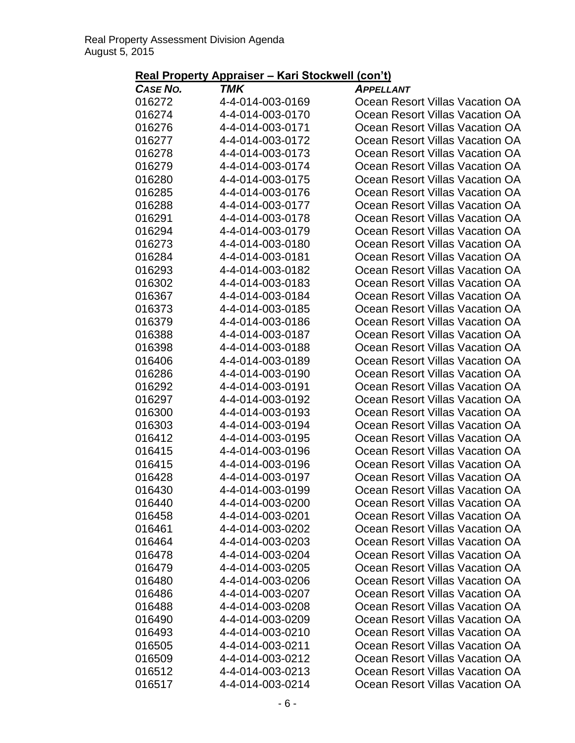| <b>CASE NO.</b>  | TMK                                  | <b>APPELLANT</b>                                                   |
|------------------|--------------------------------------|--------------------------------------------------------------------|
| 016272           | 4-4-014-003-0169                     | Ocean Resort Villas Vacation OA                                    |
| 016274           | 4-4-014-003-0170                     | Ocean Resort Villas Vacation OA                                    |
| 016276           | 4-4-014-003-0171                     | Ocean Resort Villas Vacation OA                                    |
| 016277           | 4-4-014-003-0172                     | Ocean Resort Villas Vacation OA                                    |
| 016278           | 4-4-014-003-0173                     | Ocean Resort Villas Vacation OA                                    |
| 016279           | 4-4-014-003-0174                     | Ocean Resort Villas Vacation OA                                    |
| 016280           | 4-4-014-003-0175                     | Ocean Resort Villas Vacation OA                                    |
| 016285           | 4-4-014-003-0176                     | Ocean Resort Villas Vacation OA                                    |
| 016288           | 4-4-014-003-0177                     | Ocean Resort Villas Vacation OA                                    |
| 016291           | 4-4-014-003-0178                     | Ocean Resort Villas Vacation OA                                    |
| 016294           | 4-4-014-003-0179                     | Ocean Resort Villas Vacation OA                                    |
| 016273           | 4-4-014-003-0180                     | Ocean Resort Villas Vacation OA                                    |
| 016284           | 4-4-014-003-0181                     | Ocean Resort Villas Vacation OA                                    |
| 016293           | 4-4-014-003-0182                     | Ocean Resort Villas Vacation OA                                    |
| 016302           | 4-4-014-003-0183                     | Ocean Resort Villas Vacation OA                                    |
| 016367           | 4-4-014-003-0184                     | Ocean Resort Villas Vacation OA                                    |
| 016373           | 4-4-014-003-0185                     | Ocean Resort Villas Vacation OA                                    |
| 016379           | 4-4-014-003-0186                     | Ocean Resort Villas Vacation OA                                    |
| 016388           | 4-4-014-003-0187                     | Ocean Resort Villas Vacation OA                                    |
| 016398           | 4-4-014-003-0188                     | Ocean Resort Villas Vacation OA                                    |
| 016406           | 4-4-014-003-0189                     | Ocean Resort Villas Vacation OA                                    |
| 016286           | 4-4-014-003-0190                     | Ocean Resort Villas Vacation OA                                    |
| 016292           | 4-4-014-003-0191                     | Ocean Resort Villas Vacation OA                                    |
| 016297           | 4-4-014-003-0192                     | Ocean Resort Villas Vacation OA                                    |
| 016300           | 4-4-014-003-0193                     | Ocean Resort Villas Vacation OA                                    |
| 016303           | 4-4-014-003-0194                     | Ocean Resort Villas Vacation OA                                    |
| 016412           | 4-4-014-003-0195                     | Ocean Resort Villas Vacation OA                                    |
| 016415           | 4-4-014-003-0196                     | Ocean Resort Villas Vacation OA                                    |
| 016415           | 4-4-014-003-0196                     | Ocean Resort Villas Vacation OA                                    |
| 016428           | 4-4-014-003-0197                     | Ocean Resort Villas Vacation OA                                    |
| 016430           | 4-4-014-003-0199                     | Ocean Resort Villas Vacation OA                                    |
| 016440           | 4-4-014-003-0200                     | Ocean Resort Villas Vacation OA                                    |
| 016458           | 4-4-014-003-0201                     | Ocean Resort Villas Vacation OA                                    |
| 016461           | 4-4-014-003-0202                     | Ocean Resort Villas Vacation OA                                    |
| 016464           | 4-4-014-003-0203                     | Ocean Resort Villas Vacation OA<br>Ocean Resort Villas Vacation OA |
| 016478           | 4-4-014-003-0204                     |                                                                    |
| 016479           | 4-4-014-003-0205<br>4-4-014-003-0206 | Ocean Resort Villas Vacation OA<br>Ocean Resort Villas Vacation OA |
| 016480<br>016486 | 4-4-014-003-0207                     |                                                                    |
| 016488           | 4-4-014-003-0208                     | Ocean Resort Villas Vacation OA<br>Ocean Resort Villas Vacation OA |
| 016490           | 4-4-014-003-0209                     | Ocean Resort Villas Vacation OA                                    |
| 016493           | 4-4-014-003-0210                     | Ocean Resort Villas Vacation OA                                    |
| 016505           | 4-4-014-003-0211                     | Ocean Resort Villas Vacation OA                                    |
| 016509           | 4-4-014-003-0212                     | Ocean Resort Villas Vacation OA                                    |
| 016512           | 4-4-014-003-0213                     | Ocean Resort Villas Vacation OA                                    |
|                  |                                      |                                                                    |
| 016517           | 4-4-014-003-0214                     | Ocean Resort Villas Vacation OA                                    |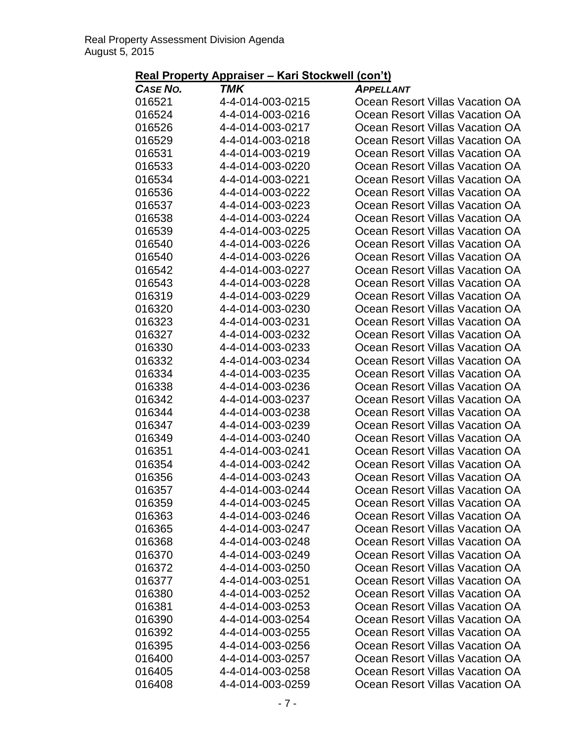| <b>CASE NO.</b> | TMK              | <b>APPELLANT</b>                |
|-----------------|------------------|---------------------------------|
| 016521          | 4-4-014-003-0215 | Ocean Resort Villas Vacation OA |
| 016524          | 4-4-014-003-0216 | Ocean Resort Villas Vacation OA |
| 016526          | 4-4-014-003-0217 | Ocean Resort Villas Vacation OA |
| 016529          | 4-4-014-003-0218 | Ocean Resort Villas Vacation OA |
| 016531          | 4-4-014-003-0219 | Ocean Resort Villas Vacation OA |
| 016533          | 4-4-014-003-0220 | Ocean Resort Villas Vacation OA |
| 016534          | 4-4-014-003-0221 | Ocean Resort Villas Vacation OA |
| 016536          | 4-4-014-003-0222 | Ocean Resort Villas Vacation OA |
| 016537          | 4-4-014-003-0223 | Ocean Resort Villas Vacation OA |
| 016538          | 4-4-014-003-0224 | Ocean Resort Villas Vacation OA |
| 016539          | 4-4-014-003-0225 | Ocean Resort Villas Vacation OA |
| 016540          | 4-4-014-003-0226 | Ocean Resort Villas Vacation OA |
| 016540          | 4-4-014-003-0226 | Ocean Resort Villas Vacation OA |
| 016542          | 4-4-014-003-0227 | Ocean Resort Villas Vacation OA |
| 016543          | 4-4-014-003-0228 | Ocean Resort Villas Vacation OA |
| 016319          | 4-4-014-003-0229 | Ocean Resort Villas Vacation OA |
| 016320          | 4-4-014-003-0230 | Ocean Resort Villas Vacation OA |
| 016323          | 4-4-014-003-0231 | Ocean Resort Villas Vacation OA |
| 016327          | 4-4-014-003-0232 | Ocean Resort Villas Vacation OA |
| 016330          | 4-4-014-003-0233 | Ocean Resort Villas Vacation OA |
| 016332          | 4-4-014-003-0234 | Ocean Resort Villas Vacation OA |
| 016334          | 4-4-014-003-0235 | Ocean Resort Villas Vacation OA |
| 016338          | 4-4-014-003-0236 | Ocean Resort Villas Vacation OA |
| 016342          | 4-4-014-003-0237 | Ocean Resort Villas Vacation OA |
| 016344          | 4-4-014-003-0238 | Ocean Resort Villas Vacation OA |
| 016347          | 4-4-014-003-0239 | Ocean Resort Villas Vacation OA |
| 016349          | 4-4-014-003-0240 | Ocean Resort Villas Vacation OA |
| 016351          | 4-4-014-003-0241 | Ocean Resort Villas Vacation OA |
| 016354          | 4-4-014-003-0242 | Ocean Resort Villas Vacation OA |
| 016356          | 4-4-014-003-0243 | Ocean Resort Villas Vacation OA |
| 016357          | 4-4-014-003-0244 | Ocean Resort Villas Vacation OA |
| 016359          | 4-4-014-003-0245 | Ocean Resort Villas Vacation OA |
| 016363          | 4-4-014-003-0246 | Ocean Resort Villas Vacation OA |
| 016365          | 4-4-014-003-0247 | Ocean Resort Villas Vacation OA |
| 016368          | 4-4-014-003-0248 | Ocean Resort Villas Vacation OA |
| 016370          | 4-4-014-003-0249 | Ocean Resort Villas Vacation OA |
| 016372          | 4-4-014-003-0250 | Ocean Resort Villas Vacation OA |
| 016377          | 4-4-014-003-0251 | Ocean Resort Villas Vacation OA |
| 016380          | 4-4-014-003-0252 | Ocean Resort Villas Vacation OA |
| 016381          | 4-4-014-003-0253 | Ocean Resort Villas Vacation OA |
| 016390          | 4-4-014-003-0254 | Ocean Resort Villas Vacation OA |
| 016392          | 4-4-014-003-0255 | Ocean Resort Villas Vacation OA |
| 016395          | 4-4-014-003-0256 | Ocean Resort Villas Vacation OA |
| 016400          | 4-4-014-003-0257 | Ocean Resort Villas Vacation OA |
| 016405          | 4-4-014-003-0258 | Ocean Resort Villas Vacation OA |
| 016408          | 4-4-014-003-0259 | Ocean Resort Villas Vacation OA |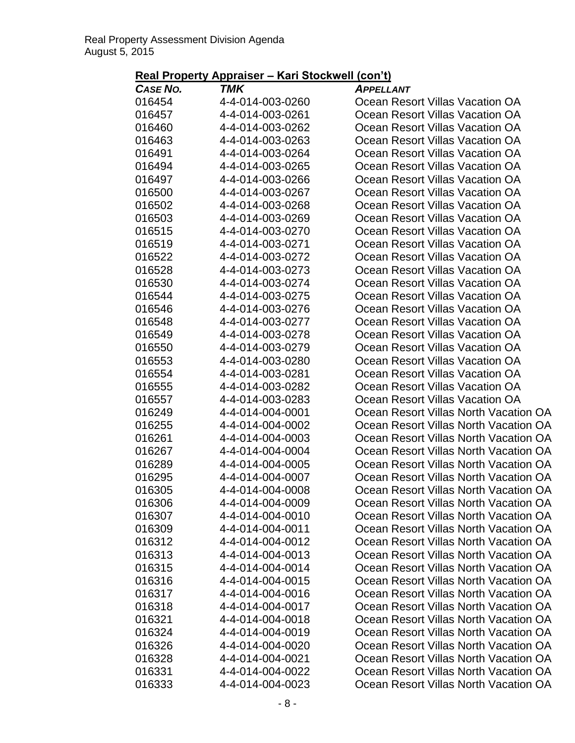| 4-4-014-003-0260<br>016454<br>Ocean Resort Villas Vacation OA<br>016457<br>4-4-014-003-0261<br>Ocean Resort Villas Vacation OA<br>016460<br>4-4-014-003-0262<br>Ocean Resort Villas Vacation OA<br>016463<br>4-4-014-003-0263<br>Ocean Resort Villas Vacation OA<br>016491<br>4-4-014-003-0264<br>Ocean Resort Villas Vacation OA<br>016494<br>4-4-014-003-0265<br>Ocean Resort Villas Vacation OA<br>016497<br>4-4-014-003-0266<br>Ocean Resort Villas Vacation OA<br>016500<br>4-4-014-003-0267<br>Ocean Resort Villas Vacation OA<br>4-4-014-003-0268<br>016502<br>Ocean Resort Villas Vacation OA<br>4-4-014-003-0269<br>Ocean Resort Villas Vacation OA<br>016503<br>016515<br>4-4-014-003-0270<br>Ocean Resort Villas Vacation OA<br>016519<br>4-4-014-003-0271<br>Ocean Resort Villas Vacation OA<br>016522<br>4-4-014-003-0272<br>Ocean Resort Villas Vacation OA<br>016528<br>4-4-014-003-0273<br>Ocean Resort Villas Vacation OA<br>016530<br>4-4-014-003-0274<br>Ocean Resort Villas Vacation OA<br>016544<br>4-4-014-003-0275<br>Ocean Resort Villas Vacation OA<br>016546<br>4-4-014-003-0276<br>Ocean Resort Villas Vacation OA<br>016548<br>4-4-014-003-0277<br>Ocean Resort Villas Vacation OA<br>016549<br>4-4-014-003-0278<br>Ocean Resort Villas Vacation OA<br>016550<br>4-4-014-003-0279<br>Ocean Resort Villas Vacation OA<br>016553<br>4-4-014-003-0280<br>Ocean Resort Villas Vacation OA<br>4-4-014-003-0281<br>016554<br>Ocean Resort Villas Vacation OA<br>016555<br>4-4-014-003-0282<br>Ocean Resort Villas Vacation OA<br>016557<br>4-4-014-003-0283<br>Ocean Resort Villas Vacation OA<br>016249<br>4-4-014-004-0001<br>Ocean Resort Villas North Vacation OA<br>016255<br>4-4-014-004-0002<br>Ocean Resort Villas North Vacation OA<br>016261<br>4-4-014-004-0003<br>Ocean Resort Villas North Vacation OA<br>016267<br>4-4-014-004-0004<br>Ocean Resort Villas North Vacation OA<br>Ocean Resort Villas North Vacation OA<br>016289<br>4-4-014-004-0005<br>016295<br>4-4-014-004-0007<br>Ocean Resort Villas North Vacation OA<br>016305<br>4-4-014-004-0008<br>Ocean Resort Villas North Vacation OA<br>016306<br>Ocean Resort Villas North Vacation OA<br>4-4-014-004-0009<br>016307<br>4-4-014-004-0010<br>Ocean Resort Villas North Vacation OA |
|-------------------------------------------------------------------------------------------------------------------------------------------------------------------------------------------------------------------------------------------------------------------------------------------------------------------------------------------------------------------------------------------------------------------------------------------------------------------------------------------------------------------------------------------------------------------------------------------------------------------------------------------------------------------------------------------------------------------------------------------------------------------------------------------------------------------------------------------------------------------------------------------------------------------------------------------------------------------------------------------------------------------------------------------------------------------------------------------------------------------------------------------------------------------------------------------------------------------------------------------------------------------------------------------------------------------------------------------------------------------------------------------------------------------------------------------------------------------------------------------------------------------------------------------------------------------------------------------------------------------------------------------------------------------------------------------------------------------------------------------------------------------------------------------------------------------------------------------------------------------------------------------------------------------------------------------------------------------------------------------------------------------------------------------------------------------------------------------------------------------------------------------------------------------------------------------------------------------------------------------------------------------------------------|
|                                                                                                                                                                                                                                                                                                                                                                                                                                                                                                                                                                                                                                                                                                                                                                                                                                                                                                                                                                                                                                                                                                                                                                                                                                                                                                                                                                                                                                                                                                                                                                                                                                                                                                                                                                                                                                                                                                                                                                                                                                                                                                                                                                                                                                                                                     |
|                                                                                                                                                                                                                                                                                                                                                                                                                                                                                                                                                                                                                                                                                                                                                                                                                                                                                                                                                                                                                                                                                                                                                                                                                                                                                                                                                                                                                                                                                                                                                                                                                                                                                                                                                                                                                                                                                                                                                                                                                                                                                                                                                                                                                                                                                     |
|                                                                                                                                                                                                                                                                                                                                                                                                                                                                                                                                                                                                                                                                                                                                                                                                                                                                                                                                                                                                                                                                                                                                                                                                                                                                                                                                                                                                                                                                                                                                                                                                                                                                                                                                                                                                                                                                                                                                                                                                                                                                                                                                                                                                                                                                                     |
|                                                                                                                                                                                                                                                                                                                                                                                                                                                                                                                                                                                                                                                                                                                                                                                                                                                                                                                                                                                                                                                                                                                                                                                                                                                                                                                                                                                                                                                                                                                                                                                                                                                                                                                                                                                                                                                                                                                                                                                                                                                                                                                                                                                                                                                                                     |
|                                                                                                                                                                                                                                                                                                                                                                                                                                                                                                                                                                                                                                                                                                                                                                                                                                                                                                                                                                                                                                                                                                                                                                                                                                                                                                                                                                                                                                                                                                                                                                                                                                                                                                                                                                                                                                                                                                                                                                                                                                                                                                                                                                                                                                                                                     |
|                                                                                                                                                                                                                                                                                                                                                                                                                                                                                                                                                                                                                                                                                                                                                                                                                                                                                                                                                                                                                                                                                                                                                                                                                                                                                                                                                                                                                                                                                                                                                                                                                                                                                                                                                                                                                                                                                                                                                                                                                                                                                                                                                                                                                                                                                     |
|                                                                                                                                                                                                                                                                                                                                                                                                                                                                                                                                                                                                                                                                                                                                                                                                                                                                                                                                                                                                                                                                                                                                                                                                                                                                                                                                                                                                                                                                                                                                                                                                                                                                                                                                                                                                                                                                                                                                                                                                                                                                                                                                                                                                                                                                                     |
|                                                                                                                                                                                                                                                                                                                                                                                                                                                                                                                                                                                                                                                                                                                                                                                                                                                                                                                                                                                                                                                                                                                                                                                                                                                                                                                                                                                                                                                                                                                                                                                                                                                                                                                                                                                                                                                                                                                                                                                                                                                                                                                                                                                                                                                                                     |
|                                                                                                                                                                                                                                                                                                                                                                                                                                                                                                                                                                                                                                                                                                                                                                                                                                                                                                                                                                                                                                                                                                                                                                                                                                                                                                                                                                                                                                                                                                                                                                                                                                                                                                                                                                                                                                                                                                                                                                                                                                                                                                                                                                                                                                                                                     |
|                                                                                                                                                                                                                                                                                                                                                                                                                                                                                                                                                                                                                                                                                                                                                                                                                                                                                                                                                                                                                                                                                                                                                                                                                                                                                                                                                                                                                                                                                                                                                                                                                                                                                                                                                                                                                                                                                                                                                                                                                                                                                                                                                                                                                                                                                     |
|                                                                                                                                                                                                                                                                                                                                                                                                                                                                                                                                                                                                                                                                                                                                                                                                                                                                                                                                                                                                                                                                                                                                                                                                                                                                                                                                                                                                                                                                                                                                                                                                                                                                                                                                                                                                                                                                                                                                                                                                                                                                                                                                                                                                                                                                                     |
|                                                                                                                                                                                                                                                                                                                                                                                                                                                                                                                                                                                                                                                                                                                                                                                                                                                                                                                                                                                                                                                                                                                                                                                                                                                                                                                                                                                                                                                                                                                                                                                                                                                                                                                                                                                                                                                                                                                                                                                                                                                                                                                                                                                                                                                                                     |
|                                                                                                                                                                                                                                                                                                                                                                                                                                                                                                                                                                                                                                                                                                                                                                                                                                                                                                                                                                                                                                                                                                                                                                                                                                                                                                                                                                                                                                                                                                                                                                                                                                                                                                                                                                                                                                                                                                                                                                                                                                                                                                                                                                                                                                                                                     |
|                                                                                                                                                                                                                                                                                                                                                                                                                                                                                                                                                                                                                                                                                                                                                                                                                                                                                                                                                                                                                                                                                                                                                                                                                                                                                                                                                                                                                                                                                                                                                                                                                                                                                                                                                                                                                                                                                                                                                                                                                                                                                                                                                                                                                                                                                     |
|                                                                                                                                                                                                                                                                                                                                                                                                                                                                                                                                                                                                                                                                                                                                                                                                                                                                                                                                                                                                                                                                                                                                                                                                                                                                                                                                                                                                                                                                                                                                                                                                                                                                                                                                                                                                                                                                                                                                                                                                                                                                                                                                                                                                                                                                                     |
|                                                                                                                                                                                                                                                                                                                                                                                                                                                                                                                                                                                                                                                                                                                                                                                                                                                                                                                                                                                                                                                                                                                                                                                                                                                                                                                                                                                                                                                                                                                                                                                                                                                                                                                                                                                                                                                                                                                                                                                                                                                                                                                                                                                                                                                                                     |
|                                                                                                                                                                                                                                                                                                                                                                                                                                                                                                                                                                                                                                                                                                                                                                                                                                                                                                                                                                                                                                                                                                                                                                                                                                                                                                                                                                                                                                                                                                                                                                                                                                                                                                                                                                                                                                                                                                                                                                                                                                                                                                                                                                                                                                                                                     |
|                                                                                                                                                                                                                                                                                                                                                                                                                                                                                                                                                                                                                                                                                                                                                                                                                                                                                                                                                                                                                                                                                                                                                                                                                                                                                                                                                                                                                                                                                                                                                                                                                                                                                                                                                                                                                                                                                                                                                                                                                                                                                                                                                                                                                                                                                     |
|                                                                                                                                                                                                                                                                                                                                                                                                                                                                                                                                                                                                                                                                                                                                                                                                                                                                                                                                                                                                                                                                                                                                                                                                                                                                                                                                                                                                                                                                                                                                                                                                                                                                                                                                                                                                                                                                                                                                                                                                                                                                                                                                                                                                                                                                                     |
|                                                                                                                                                                                                                                                                                                                                                                                                                                                                                                                                                                                                                                                                                                                                                                                                                                                                                                                                                                                                                                                                                                                                                                                                                                                                                                                                                                                                                                                                                                                                                                                                                                                                                                                                                                                                                                                                                                                                                                                                                                                                                                                                                                                                                                                                                     |
|                                                                                                                                                                                                                                                                                                                                                                                                                                                                                                                                                                                                                                                                                                                                                                                                                                                                                                                                                                                                                                                                                                                                                                                                                                                                                                                                                                                                                                                                                                                                                                                                                                                                                                                                                                                                                                                                                                                                                                                                                                                                                                                                                                                                                                                                                     |
|                                                                                                                                                                                                                                                                                                                                                                                                                                                                                                                                                                                                                                                                                                                                                                                                                                                                                                                                                                                                                                                                                                                                                                                                                                                                                                                                                                                                                                                                                                                                                                                                                                                                                                                                                                                                                                                                                                                                                                                                                                                                                                                                                                                                                                                                                     |
|                                                                                                                                                                                                                                                                                                                                                                                                                                                                                                                                                                                                                                                                                                                                                                                                                                                                                                                                                                                                                                                                                                                                                                                                                                                                                                                                                                                                                                                                                                                                                                                                                                                                                                                                                                                                                                                                                                                                                                                                                                                                                                                                                                                                                                                                                     |
|                                                                                                                                                                                                                                                                                                                                                                                                                                                                                                                                                                                                                                                                                                                                                                                                                                                                                                                                                                                                                                                                                                                                                                                                                                                                                                                                                                                                                                                                                                                                                                                                                                                                                                                                                                                                                                                                                                                                                                                                                                                                                                                                                                                                                                                                                     |
|                                                                                                                                                                                                                                                                                                                                                                                                                                                                                                                                                                                                                                                                                                                                                                                                                                                                                                                                                                                                                                                                                                                                                                                                                                                                                                                                                                                                                                                                                                                                                                                                                                                                                                                                                                                                                                                                                                                                                                                                                                                                                                                                                                                                                                                                                     |
|                                                                                                                                                                                                                                                                                                                                                                                                                                                                                                                                                                                                                                                                                                                                                                                                                                                                                                                                                                                                                                                                                                                                                                                                                                                                                                                                                                                                                                                                                                                                                                                                                                                                                                                                                                                                                                                                                                                                                                                                                                                                                                                                                                                                                                                                                     |
|                                                                                                                                                                                                                                                                                                                                                                                                                                                                                                                                                                                                                                                                                                                                                                                                                                                                                                                                                                                                                                                                                                                                                                                                                                                                                                                                                                                                                                                                                                                                                                                                                                                                                                                                                                                                                                                                                                                                                                                                                                                                                                                                                                                                                                                                                     |
|                                                                                                                                                                                                                                                                                                                                                                                                                                                                                                                                                                                                                                                                                                                                                                                                                                                                                                                                                                                                                                                                                                                                                                                                                                                                                                                                                                                                                                                                                                                                                                                                                                                                                                                                                                                                                                                                                                                                                                                                                                                                                                                                                                                                                                                                                     |
|                                                                                                                                                                                                                                                                                                                                                                                                                                                                                                                                                                                                                                                                                                                                                                                                                                                                                                                                                                                                                                                                                                                                                                                                                                                                                                                                                                                                                                                                                                                                                                                                                                                                                                                                                                                                                                                                                                                                                                                                                                                                                                                                                                                                                                                                                     |
|                                                                                                                                                                                                                                                                                                                                                                                                                                                                                                                                                                                                                                                                                                                                                                                                                                                                                                                                                                                                                                                                                                                                                                                                                                                                                                                                                                                                                                                                                                                                                                                                                                                                                                                                                                                                                                                                                                                                                                                                                                                                                                                                                                                                                                                                                     |
|                                                                                                                                                                                                                                                                                                                                                                                                                                                                                                                                                                                                                                                                                                                                                                                                                                                                                                                                                                                                                                                                                                                                                                                                                                                                                                                                                                                                                                                                                                                                                                                                                                                                                                                                                                                                                                                                                                                                                                                                                                                                                                                                                                                                                                                                                     |
|                                                                                                                                                                                                                                                                                                                                                                                                                                                                                                                                                                                                                                                                                                                                                                                                                                                                                                                                                                                                                                                                                                                                                                                                                                                                                                                                                                                                                                                                                                                                                                                                                                                                                                                                                                                                                                                                                                                                                                                                                                                                                                                                                                                                                                                                                     |
| 4-4-014-004-0011<br>016309<br>Ocean Resort Villas North Vacation OA                                                                                                                                                                                                                                                                                                                                                                                                                                                                                                                                                                                                                                                                                                                                                                                                                                                                                                                                                                                                                                                                                                                                                                                                                                                                                                                                                                                                                                                                                                                                                                                                                                                                                                                                                                                                                                                                                                                                                                                                                                                                                                                                                                                                                 |
| 016312<br>4-4-014-004-0012<br>Ocean Resort Villas North Vacation OA                                                                                                                                                                                                                                                                                                                                                                                                                                                                                                                                                                                                                                                                                                                                                                                                                                                                                                                                                                                                                                                                                                                                                                                                                                                                                                                                                                                                                                                                                                                                                                                                                                                                                                                                                                                                                                                                                                                                                                                                                                                                                                                                                                                                                 |
| 016313<br>4-4-014-004-0013<br>Ocean Resort Villas North Vacation OA                                                                                                                                                                                                                                                                                                                                                                                                                                                                                                                                                                                                                                                                                                                                                                                                                                                                                                                                                                                                                                                                                                                                                                                                                                                                                                                                                                                                                                                                                                                                                                                                                                                                                                                                                                                                                                                                                                                                                                                                                                                                                                                                                                                                                 |
| 016315<br>4-4-014-004-0014<br>Ocean Resort Villas North Vacation OA                                                                                                                                                                                                                                                                                                                                                                                                                                                                                                                                                                                                                                                                                                                                                                                                                                                                                                                                                                                                                                                                                                                                                                                                                                                                                                                                                                                                                                                                                                                                                                                                                                                                                                                                                                                                                                                                                                                                                                                                                                                                                                                                                                                                                 |
| Ocean Resort Villas North Vacation OA<br>016316<br>4-4-014-004-0015                                                                                                                                                                                                                                                                                                                                                                                                                                                                                                                                                                                                                                                                                                                                                                                                                                                                                                                                                                                                                                                                                                                                                                                                                                                                                                                                                                                                                                                                                                                                                                                                                                                                                                                                                                                                                                                                                                                                                                                                                                                                                                                                                                                                                 |
| 016317<br>4-4-014-004-0016<br>Ocean Resort Villas North Vacation OA                                                                                                                                                                                                                                                                                                                                                                                                                                                                                                                                                                                                                                                                                                                                                                                                                                                                                                                                                                                                                                                                                                                                                                                                                                                                                                                                                                                                                                                                                                                                                                                                                                                                                                                                                                                                                                                                                                                                                                                                                                                                                                                                                                                                                 |
| 4-4-014-004-0017<br>016318<br>Ocean Resort Villas North Vacation OA                                                                                                                                                                                                                                                                                                                                                                                                                                                                                                                                                                                                                                                                                                                                                                                                                                                                                                                                                                                                                                                                                                                                                                                                                                                                                                                                                                                                                                                                                                                                                                                                                                                                                                                                                                                                                                                                                                                                                                                                                                                                                                                                                                                                                 |
| 016321<br>4-4-014-004-0018<br>Ocean Resort Villas North Vacation OA                                                                                                                                                                                                                                                                                                                                                                                                                                                                                                                                                                                                                                                                                                                                                                                                                                                                                                                                                                                                                                                                                                                                                                                                                                                                                                                                                                                                                                                                                                                                                                                                                                                                                                                                                                                                                                                                                                                                                                                                                                                                                                                                                                                                                 |
| 4-4-014-004-0019<br>016324<br>Ocean Resort Villas North Vacation OA                                                                                                                                                                                                                                                                                                                                                                                                                                                                                                                                                                                                                                                                                                                                                                                                                                                                                                                                                                                                                                                                                                                                                                                                                                                                                                                                                                                                                                                                                                                                                                                                                                                                                                                                                                                                                                                                                                                                                                                                                                                                                                                                                                                                                 |
| 016326<br>4-4-014-004-0020<br>Ocean Resort Villas North Vacation OA                                                                                                                                                                                                                                                                                                                                                                                                                                                                                                                                                                                                                                                                                                                                                                                                                                                                                                                                                                                                                                                                                                                                                                                                                                                                                                                                                                                                                                                                                                                                                                                                                                                                                                                                                                                                                                                                                                                                                                                                                                                                                                                                                                                                                 |
| 4-4-014-004-0021<br>016328<br>Ocean Resort Villas North Vacation OA                                                                                                                                                                                                                                                                                                                                                                                                                                                                                                                                                                                                                                                                                                                                                                                                                                                                                                                                                                                                                                                                                                                                                                                                                                                                                                                                                                                                                                                                                                                                                                                                                                                                                                                                                                                                                                                                                                                                                                                                                                                                                                                                                                                                                 |
| 016331<br>4-4-014-004-0022<br>Ocean Resort Villas North Vacation OA                                                                                                                                                                                                                                                                                                                                                                                                                                                                                                                                                                                                                                                                                                                                                                                                                                                                                                                                                                                                                                                                                                                                                                                                                                                                                                                                                                                                                                                                                                                                                                                                                                                                                                                                                                                                                                                                                                                                                                                                                                                                                                                                                                                                                 |
| 016333<br>4-4-014-004-0023<br>Ocean Resort Villas North Vacation OA                                                                                                                                                                                                                                                                                                                                                                                                                                                                                                                                                                                                                                                                                                                                                                                                                                                                                                                                                                                                                                                                                                                                                                                                                                                                                                                                                                                                                                                                                                                                                                                                                                                                                                                                                                                                                                                                                                                                                                                                                                                                                                                                                                                                                 |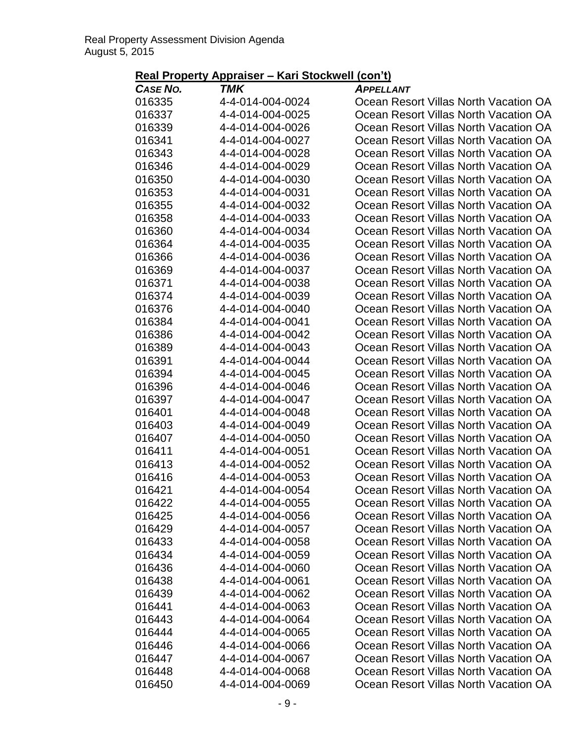| Real Property Appraiser – Kari Stockwell (con't) |  |
|--------------------------------------------------|--|
|--------------------------------------------------|--|

| <b>CASE NO.</b>  | TMK                                  | <b>APPELLANT</b>                                                               |
|------------------|--------------------------------------|--------------------------------------------------------------------------------|
| 016335           | 4-4-014-004-0024                     | Ocean Resort Villas North Vacation OA                                          |
| 016337           | 4-4-014-004-0025                     | Ocean Resort Villas North Vacation OA                                          |
| 016339           | 4-4-014-004-0026                     | Ocean Resort Villas North Vacation OA                                          |
| 016341           | 4-4-014-004-0027                     | Ocean Resort Villas North Vacation OA                                          |
| 016343           | 4-4-014-004-0028                     | Ocean Resort Villas North Vacation OA                                          |
| 016346           | 4-4-014-004-0029                     | Ocean Resort Villas North Vacation OA                                          |
| 016350           | 4-4-014-004-0030                     | Ocean Resort Villas North Vacation OA                                          |
| 016353           | 4-4-014-004-0031                     | Ocean Resort Villas North Vacation OA                                          |
| 016355           | 4-4-014-004-0032                     | Ocean Resort Villas North Vacation OA                                          |
| 016358           | 4-4-014-004-0033                     | Ocean Resort Villas North Vacation OA                                          |
| 016360           | 4-4-014-004-0034                     | Ocean Resort Villas North Vacation OA                                          |
| 016364           | 4-4-014-004-0035                     | Ocean Resort Villas North Vacation OA                                          |
| 016366           | 4-4-014-004-0036                     | Ocean Resort Villas North Vacation OA                                          |
| 016369           | 4-4-014-004-0037                     | Ocean Resort Villas North Vacation OA                                          |
| 016371           | 4-4-014-004-0038                     | Ocean Resort Villas North Vacation OA                                          |
| 016374           | 4-4-014-004-0039                     | Ocean Resort Villas North Vacation OA                                          |
| 016376           | 4-4-014-004-0040                     | Ocean Resort Villas North Vacation OA                                          |
| 016384           | 4-4-014-004-0041                     | Ocean Resort Villas North Vacation OA                                          |
| 016386           | 4-4-014-004-0042                     | Ocean Resort Villas North Vacation OA                                          |
| 016389           | 4-4-014-004-0043                     | Ocean Resort Villas North Vacation OA                                          |
| 016391           | 4-4-014-004-0044                     | Ocean Resort Villas North Vacation OA                                          |
| 016394           | 4-4-014-004-0045                     | Ocean Resort Villas North Vacation OA                                          |
| 016396           | 4-4-014-004-0046                     | Ocean Resort Villas North Vacation OA                                          |
| 016397           | 4-4-014-004-0047                     | Ocean Resort Villas North Vacation OA                                          |
| 016401           | 4-4-014-004-0048                     | Ocean Resort Villas North Vacation OA                                          |
| 016403           | 4-4-014-004-0049                     | Ocean Resort Villas North Vacation OA                                          |
| 016407           | 4-4-014-004-0050                     | Ocean Resort Villas North Vacation OA                                          |
| 016411           | 4-4-014-004-0051                     | Ocean Resort Villas North Vacation OA                                          |
| 016413           | 4-4-014-004-0052                     | Ocean Resort Villas North Vacation OA                                          |
| 016416           | 4-4-014-004-0053                     | Ocean Resort Villas North Vacation OA                                          |
| 016421           | 4-4-014-004-0054                     | Ocean Resort Villas North Vacation OA                                          |
| 016422           | 4-4-014-004-0055                     | Ocean Resort Villas North Vacation OA                                          |
| 016425           | 4-4-014-004-0056                     | Ocean Resort Villas North Vacation OA                                          |
| 016429           | 4-4-014-004-0057                     | Ocean Resort Villas North Vacation OA                                          |
| 016433           | 4-4-014-004-0058                     | Ocean Resort Villas North Vacation OA                                          |
| 016434           | 4-4-014-004-0059                     | Ocean Resort Villas North Vacation OA                                          |
| 016436           | 4-4-014-004-0060                     | Ocean Resort Villas North Vacation OA                                          |
| 016438           | 4-4-014-004-0061                     | Ocean Resort Villas North Vacation OA                                          |
| 016439           | 4-4-014-004-0062                     | Ocean Resort Villas North Vacation OA                                          |
| 016441           | 4-4-014-004-0063                     | Ocean Resort Villas North Vacation OA<br>Ocean Resort Villas North Vacation OA |
| 016443<br>016444 | 4-4-014-004-0064<br>4-4-014-004-0065 | Ocean Resort Villas North Vacation OA                                          |
| 016446           | 4-4-014-004-0066                     | Ocean Resort Villas North Vacation OA                                          |
| 016447           | 4-4-014-004-0067                     | Ocean Resort Villas North Vacation OA                                          |
| 016448           | 4-4-014-004-0068                     | Ocean Resort Villas North Vacation OA                                          |
| 016450           | 4-4-014-004-0069                     | Ocean Resort Villas North Vacation OA                                          |
|                  |                                      |                                                                                |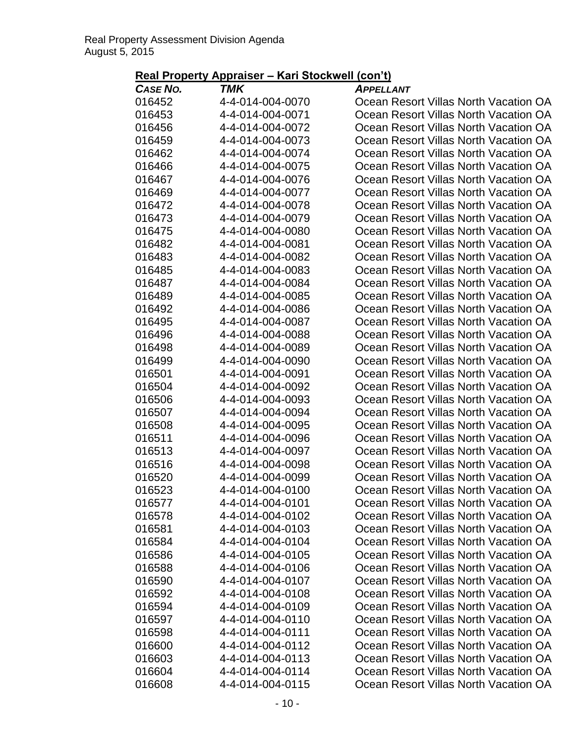| Real Property Appraiser – Kari Stockwell (con't) |
|--------------------------------------------------|
|--------------------------------------------------|

| <b>CASE NO.</b>  | <b>TMK</b>                           | <b>APPELLANT</b>                                                               |
|------------------|--------------------------------------|--------------------------------------------------------------------------------|
| 016452           | 4-4-014-004-0070                     | Ocean Resort Villas North Vacation OA                                          |
| 016453           | 4-4-014-004-0071                     | Ocean Resort Villas North Vacation OA                                          |
| 016456           | 4-4-014-004-0072                     | Ocean Resort Villas North Vacation OA                                          |
| 016459           | 4-4-014-004-0073                     | Ocean Resort Villas North Vacation OA                                          |
| 016462           | 4-4-014-004-0074                     | Ocean Resort Villas North Vacation OA                                          |
| 016466           | 4-4-014-004-0075                     | Ocean Resort Villas North Vacation OA                                          |
| 016467           | 4-4-014-004-0076                     | Ocean Resort Villas North Vacation OA                                          |
| 016469           | 4-4-014-004-0077                     | Ocean Resort Villas North Vacation OA                                          |
| 016472           | 4-4-014-004-0078                     | Ocean Resort Villas North Vacation OA                                          |
| 016473           | 4-4-014-004-0079                     | Ocean Resort Villas North Vacation OA                                          |
| 016475           | 4-4-014-004-0080                     | Ocean Resort Villas North Vacation OA                                          |
| 016482           | 4-4-014-004-0081                     | Ocean Resort Villas North Vacation OA                                          |
| 016483           | 4-4-014-004-0082                     | Ocean Resort Villas North Vacation OA                                          |
| 016485           | 4-4-014-004-0083                     | Ocean Resort Villas North Vacation OA                                          |
| 016487           | 4-4-014-004-0084                     | Ocean Resort Villas North Vacation OA                                          |
| 016489           | 4-4-014-004-0085                     | Ocean Resort Villas North Vacation OA                                          |
| 016492           | 4-4-014-004-0086                     | Ocean Resort Villas North Vacation OA                                          |
| 016495           | 4-4-014-004-0087                     | Ocean Resort Villas North Vacation OA                                          |
| 016496           | 4-4-014-004-0088                     | Ocean Resort Villas North Vacation OA                                          |
| 016498           | 4-4-014-004-0089                     | Ocean Resort Villas North Vacation OA                                          |
| 016499           | 4-4-014-004-0090                     | Ocean Resort Villas North Vacation OA                                          |
| 016501           | 4-4-014-004-0091                     | Ocean Resort Villas North Vacation OA                                          |
| 016504           | 4-4-014-004-0092                     | Ocean Resort Villas North Vacation OA                                          |
| 016506           | 4-4-014-004-0093                     | Ocean Resort Villas North Vacation OA                                          |
| 016507           | 4-4-014-004-0094                     | Ocean Resort Villas North Vacation OA                                          |
| 016508           | 4-4-014-004-0095                     | Ocean Resort Villas North Vacation OA                                          |
| 016511           | 4-4-014-004-0096                     | Ocean Resort Villas North Vacation OA                                          |
| 016513           | 4-4-014-004-0097                     | Ocean Resort Villas North Vacation OA                                          |
| 016516           | 4-4-014-004-0098                     | Ocean Resort Villas North Vacation OA                                          |
| 016520           | 4-4-014-004-0099                     | Ocean Resort Villas North Vacation OA                                          |
| 016523           | 4-4-014-004-0100                     | Ocean Resort Villas North Vacation OA                                          |
| 016577           | 4-4-014-004-0101                     | Ocean Resort Villas North Vacation OA                                          |
| 016578           | 4-4-014-004-0102                     | Ocean Resort Villas North Vacation OA                                          |
| 016581           | 4-4-014-004-0103                     | Ocean Resort Villas North Vacation OA                                          |
| 016584           | 4-4-014-004-0104                     | Ocean Resort Villas North Vacation OA                                          |
| 016586           | 4-4-014-004-0105                     | Ocean Resort Villas North Vacation OA                                          |
| 016588           | 4-4-014-004-0106                     | Ocean Resort Villas North Vacation OA                                          |
| 016590           | 4-4-014-004-0107                     | Ocean Resort Villas North Vacation OA                                          |
| 016592           | 4-4-014-004-0108                     | Ocean Resort Villas North Vacation OA                                          |
| 016594           | 4-4-014-004-0109                     | Ocean Resort Villas North Vacation OA<br>Ocean Resort Villas North Vacation OA |
| 016597           | 4-4-014-004-0110<br>4-4-014-004-0111 | Ocean Resort Villas North Vacation OA                                          |
| 016598<br>016600 | 4-4-014-004-0112                     | Ocean Resort Villas North Vacation OA                                          |
| 016603           | 4-4-014-004-0113                     | Ocean Resort Villas North Vacation OA                                          |
| 016604           | 4-4-014-004-0114                     | Ocean Resort Villas North Vacation OA                                          |
| 016608           | 4-4-014-004-0115                     | Ocean Resort Villas North Vacation OA                                          |
|                  |                                      |                                                                                |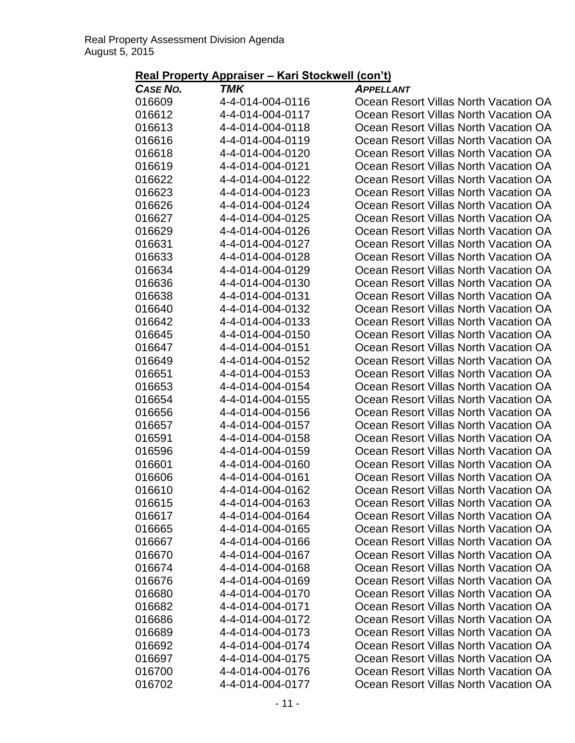| Real Property Appraiser – Kari Stockwell (con't) |  |
|--------------------------------------------------|--|
|--------------------------------------------------|--|

| <b>CASE NO.</b> | TMK              | <b>APPELLANT</b>                      |
|-----------------|------------------|---------------------------------------|
| 016609          | 4-4-014-004-0116 | Ocean Resort Villas North Vacation OA |
| 016612          | 4-4-014-004-0117 | Ocean Resort Villas North Vacation OA |
| 016613          | 4-4-014-004-0118 | Ocean Resort Villas North Vacation OA |
| 016616          | 4-4-014-004-0119 | Ocean Resort Villas North Vacation OA |
| 016618          | 4-4-014-004-0120 | Ocean Resort Villas North Vacation OA |
| 016619          | 4-4-014-004-0121 | Ocean Resort Villas North Vacation OA |
| 016622          | 4-4-014-004-0122 | Ocean Resort Villas North Vacation OA |
| 016623          | 4-4-014-004-0123 | Ocean Resort Villas North Vacation OA |
| 016626          | 4-4-014-004-0124 | Ocean Resort Villas North Vacation OA |
| 016627          | 4-4-014-004-0125 | Ocean Resort Villas North Vacation OA |
| 016629          | 4-4-014-004-0126 | Ocean Resort Villas North Vacation OA |
| 016631          | 4-4-014-004-0127 | Ocean Resort Villas North Vacation OA |
| 016633          | 4-4-014-004-0128 | Ocean Resort Villas North Vacation OA |
| 016634          | 4-4-014-004-0129 | Ocean Resort Villas North Vacation OA |
| 016636          | 4-4-014-004-0130 | Ocean Resort Villas North Vacation OA |
| 016638          | 4-4-014-004-0131 | Ocean Resort Villas North Vacation OA |
| 016640          | 4-4-014-004-0132 | Ocean Resort Villas North Vacation OA |
| 016642          | 4-4-014-004-0133 | Ocean Resort Villas North Vacation OA |
| 016645          | 4-4-014-004-0150 | Ocean Resort Villas North Vacation OA |
| 016647          | 4-4-014-004-0151 | Ocean Resort Villas North Vacation OA |
| 016649          | 4-4-014-004-0152 | Ocean Resort Villas North Vacation OA |
| 016651          | 4-4-014-004-0153 | Ocean Resort Villas North Vacation OA |
| 016653          | 4-4-014-004-0154 | Ocean Resort Villas North Vacation OA |
| 016654          | 4-4-014-004-0155 | Ocean Resort Villas North Vacation OA |
| 016656          | 4-4-014-004-0156 | Ocean Resort Villas North Vacation OA |
| 016657          | 4-4-014-004-0157 | Ocean Resort Villas North Vacation OA |
| 016591          | 4-4-014-004-0158 | Ocean Resort Villas North Vacation OA |
| 016596          | 4-4-014-004-0159 | Ocean Resort Villas North Vacation OA |
| 016601          | 4-4-014-004-0160 | Ocean Resort Villas North Vacation OA |
| 016606          | 4-4-014-004-0161 | Ocean Resort Villas North Vacation OA |
| 016610          | 4-4-014-004-0162 | Ocean Resort Villas North Vacation OA |
| 016615          | 4-4-014-004-0163 | Ocean Resort Villas North Vacation OA |
| 016617          | 4-4-014-004-0164 | Ocean Resort Villas North Vacation OA |
| 016665          | 4-4-014-004-0165 | Ocean Resort Villas North Vacation OA |
| 016667          | 4-4-014-004-0166 | Ocean Resort Villas North Vacation OA |
| 016670          | 4-4-014-004-0167 | Ocean Resort Villas North Vacation OA |
| 016674          | 4-4-014-004-0168 | Ocean Resort Villas North Vacation OA |
| 016676          | 4-4-014-004-0169 | Ocean Resort Villas North Vacation OA |
| 016680          | 4-4-014-004-0170 | Ocean Resort Villas North Vacation OA |
| 016682          | 4-4-014-004-0171 | Ocean Resort Villas North Vacation OA |
| 016686          | 4-4-014-004-0172 | Ocean Resort Villas North Vacation OA |
| 016689          | 4-4-014-004-0173 | Ocean Resort Villas North Vacation OA |
| 016692          | 4-4-014-004-0174 | Ocean Resort Villas North Vacation OA |
| 016697          | 4-4-014-004-0175 | Ocean Resort Villas North Vacation OA |
| 016700          | 4-4-014-004-0176 | Ocean Resort Villas North Vacation OA |
| 016702          | 4-4-014-004-0177 | Ocean Resort Villas North Vacation OA |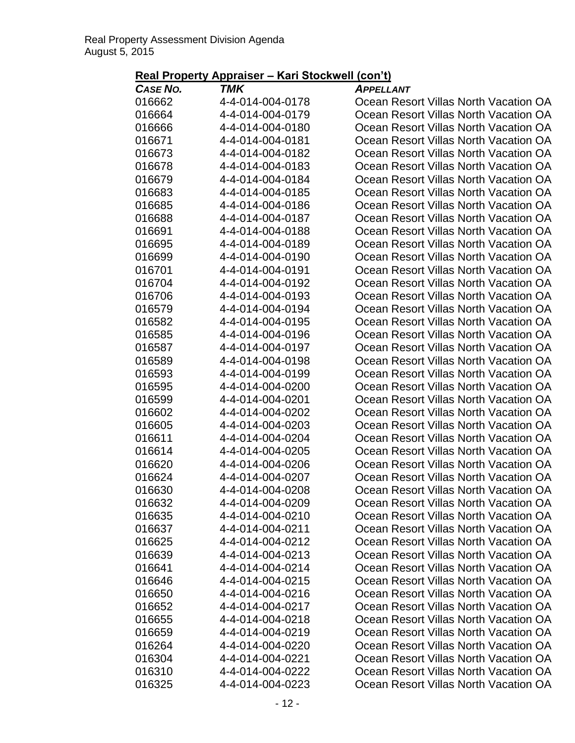| Real Property Appraiser – Kari Stockwell (con't) |
|--------------------------------------------------|
|--------------------------------------------------|

| <b>CASE NO.</b>  | TMK                                  | <b>APPELLANT</b>                                                               |
|------------------|--------------------------------------|--------------------------------------------------------------------------------|
| 016662           | 4-4-014-004-0178                     | Ocean Resort Villas North Vacation OA                                          |
| 016664           | 4-4-014-004-0179                     | Ocean Resort Villas North Vacation OA                                          |
| 016666           | 4-4-014-004-0180                     | Ocean Resort Villas North Vacation OA                                          |
| 016671           | 4-4-014-004-0181                     | Ocean Resort Villas North Vacation OA                                          |
| 016673           | 4-4-014-004-0182                     | Ocean Resort Villas North Vacation OA                                          |
| 016678           | 4-4-014-004-0183                     | Ocean Resort Villas North Vacation OA                                          |
| 016679           | 4-4-014-004-0184                     | Ocean Resort Villas North Vacation OA                                          |
| 016683           | 4-4-014-004-0185                     | Ocean Resort Villas North Vacation OA                                          |
| 016685           | 4-4-014-004-0186                     | Ocean Resort Villas North Vacation OA                                          |
| 016688           | 4-4-014-004-0187                     | Ocean Resort Villas North Vacation OA                                          |
| 016691           | 4-4-014-004-0188                     | Ocean Resort Villas North Vacation OA                                          |
| 016695           | 4-4-014-004-0189                     | Ocean Resort Villas North Vacation OA                                          |
| 016699           | 4-4-014-004-0190                     | Ocean Resort Villas North Vacation OA                                          |
| 016701           | 4-4-014-004-0191                     | Ocean Resort Villas North Vacation OA                                          |
| 016704           | 4-4-014-004-0192                     | Ocean Resort Villas North Vacation OA                                          |
| 016706           | 4-4-014-004-0193                     | Ocean Resort Villas North Vacation OA                                          |
| 016579           | 4-4-014-004-0194                     | Ocean Resort Villas North Vacation OA                                          |
| 016582           | 4-4-014-004-0195                     | Ocean Resort Villas North Vacation OA                                          |
| 016585           | 4-4-014-004-0196                     | Ocean Resort Villas North Vacation OA                                          |
| 016587           | 4-4-014-004-0197                     | Ocean Resort Villas North Vacation OA                                          |
| 016589           | 4-4-014-004-0198                     | Ocean Resort Villas North Vacation OA                                          |
| 016593           | 4-4-014-004-0199                     | Ocean Resort Villas North Vacation OA                                          |
| 016595           | 4-4-014-004-0200                     | Ocean Resort Villas North Vacation OA                                          |
| 016599           | 4-4-014-004-0201                     | Ocean Resort Villas North Vacation OA                                          |
| 016602           | 4-4-014-004-0202                     | Ocean Resort Villas North Vacation OA                                          |
| 016605           | 4-4-014-004-0203                     | Ocean Resort Villas North Vacation OA                                          |
| 016611           | 4-4-014-004-0204                     | Ocean Resort Villas North Vacation OA                                          |
| 016614           | 4-4-014-004-0205                     | Ocean Resort Villas North Vacation OA                                          |
| 016620           | 4-4-014-004-0206                     | Ocean Resort Villas North Vacation OA                                          |
| 016624           | 4-4-014-004-0207                     | Ocean Resort Villas North Vacation OA                                          |
| 016630           | 4-4-014-004-0208                     | Ocean Resort Villas North Vacation OA                                          |
| 016632           | 4-4-014-004-0209                     | Ocean Resort Villas North Vacation OA                                          |
| 016635           | 4-4-014-004-0210                     | Ocean Resort Villas North Vacation OA                                          |
| 016637           | 4-4-014-004-0211                     | Ocean Resort Villas North Vacation OA                                          |
| 016625           | 4-4-014-004-0212                     | Ocean Resort Villas North Vacation OA                                          |
| 016639           | 4-4-014-004-0213                     | Ocean Resort Villas North Vacation OA                                          |
| 016641           | 4-4-014-004-0214                     | Ocean Resort Villas North Vacation OA                                          |
| 016646           | 4-4-014-004-0215                     | Ocean Resort Villas North Vacation OA                                          |
| 016650           | 4-4-014-004-0216                     | Ocean Resort Villas North Vacation OA                                          |
| 016652           | 4-4-014-004-0217                     | Ocean Resort Villas North Vacation OA                                          |
| 016655           | 4-4-014-004-0218                     | Ocean Resort Villas North Vacation OA                                          |
| 016659           | 4-4-014-004-0219<br>4-4-014-004-0220 | Ocean Resort Villas North Vacation OA                                          |
| 016264           | 4-4-014-004-0221                     | Ocean Resort Villas North Vacation OA<br>Ocean Resort Villas North Vacation OA |
| 016304<br>016310 | 4-4-014-004-0222                     | Ocean Resort Villas North Vacation OA                                          |
| 016325           | 4-4-014-004-0223                     |                                                                                |
|                  |                                      | Ocean Resort Villas North Vacation OA                                          |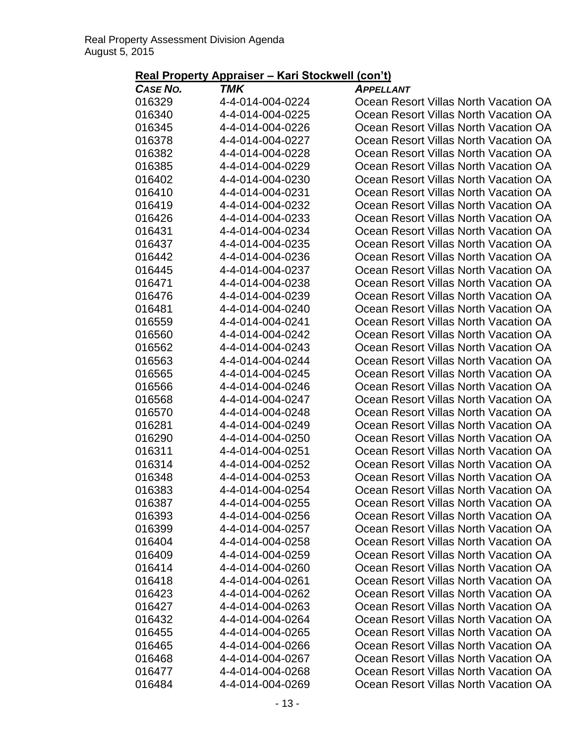| Real Property Appraiser – Kari Stockwell (con't) |  |
|--------------------------------------------------|--|
|--------------------------------------------------|--|

| <b>CASE NO.</b>  | TMK                                  | <b>APPELLANT</b>                                                               |
|------------------|--------------------------------------|--------------------------------------------------------------------------------|
| 016329           | 4-4-014-004-0224                     | Ocean Resort Villas North Vacation OA                                          |
| 016340           | 4-4-014-004-0225                     | Ocean Resort Villas North Vacation OA                                          |
| 016345           | 4-4-014-004-0226                     | Ocean Resort Villas North Vacation OA                                          |
| 016378           | 4-4-014-004-0227                     | Ocean Resort Villas North Vacation OA                                          |
| 016382           | 4-4-014-004-0228                     | Ocean Resort Villas North Vacation OA                                          |
| 016385           | 4-4-014-004-0229                     | Ocean Resort Villas North Vacation OA                                          |
| 016402           | 4-4-014-004-0230                     | Ocean Resort Villas North Vacation OA                                          |
| 016410           | 4-4-014-004-0231                     | Ocean Resort Villas North Vacation OA                                          |
| 016419           | 4-4-014-004-0232                     | Ocean Resort Villas North Vacation OA                                          |
| 016426           | 4-4-014-004-0233                     | Ocean Resort Villas North Vacation OA                                          |
| 016431           | 4-4-014-004-0234                     | Ocean Resort Villas North Vacation OA                                          |
| 016437           | 4-4-014-004-0235                     | Ocean Resort Villas North Vacation OA                                          |
| 016442           | 4-4-014-004-0236                     | Ocean Resort Villas North Vacation OA                                          |
| 016445           | 4-4-014-004-0237                     | Ocean Resort Villas North Vacation OA                                          |
| 016471           | 4-4-014-004-0238                     | Ocean Resort Villas North Vacation OA                                          |
| 016476           | 4-4-014-004-0239                     | Ocean Resort Villas North Vacation OA                                          |
| 016481           | 4-4-014-004-0240                     | Ocean Resort Villas North Vacation OA                                          |
| 016559           | 4-4-014-004-0241                     | Ocean Resort Villas North Vacation OA                                          |
| 016560           | 4-4-014-004-0242                     | Ocean Resort Villas North Vacation OA                                          |
| 016562           | 4-4-014-004-0243                     | Ocean Resort Villas North Vacation OA                                          |
| 016563           | 4-4-014-004-0244                     | Ocean Resort Villas North Vacation OA                                          |
| 016565           | 4-4-014-004-0245                     | Ocean Resort Villas North Vacation OA                                          |
| 016566           | 4-4-014-004-0246                     | Ocean Resort Villas North Vacation OA                                          |
| 016568           | 4-4-014-004-0247                     | Ocean Resort Villas North Vacation OA                                          |
| 016570           | 4-4-014-004-0248                     | Ocean Resort Villas North Vacation OA                                          |
| 016281           | 4-4-014-004-0249                     | Ocean Resort Villas North Vacation OA                                          |
| 016290           | 4-4-014-004-0250                     | Ocean Resort Villas North Vacation OA                                          |
| 016311           | 4-4-014-004-0251                     | Ocean Resort Villas North Vacation OA                                          |
| 016314           | 4-4-014-004-0252                     | Ocean Resort Villas North Vacation OA                                          |
| 016348           | 4-4-014-004-0253                     | Ocean Resort Villas North Vacation OA                                          |
| 016383           | 4-4-014-004-0254                     | Ocean Resort Villas North Vacation OA                                          |
| 016387           | 4-4-014-004-0255                     | Ocean Resort Villas North Vacation OA                                          |
| 016393           | 4-4-014-004-0256                     | Ocean Resort Villas North Vacation OA                                          |
| 016399           | 4-4-014-004-0257                     | Ocean Resort Villas North Vacation OA                                          |
| 016404           | 4-4-014-004-0258                     | Ocean Resort Villas North Vacation OA                                          |
| 016409           | 4-4-014-004-0259                     | Ocean Resort Villas North Vacation OA                                          |
| 016414           | 4-4-014-004-0260                     | Ocean Resort Villas North Vacation OA                                          |
| 016418           | 4-4-014-004-0261                     | Ocean Resort Villas North Vacation OA                                          |
| 016423           | 4-4-014-004-0262                     | Ocean Resort Villas North Vacation OA                                          |
| 016427           | 4-4-014-004-0263                     | Ocean Resort Villas North Vacation OA                                          |
| 016432<br>016455 | 4-4-014-004-0264<br>4-4-014-004-0265 | Ocean Resort Villas North Vacation OA<br>Ocean Resort Villas North Vacation OA |
| 016465           | 4-4-014-004-0266                     | Ocean Resort Villas North Vacation OA                                          |
|                  | 4-4-014-004-0267                     | Ocean Resort Villas North Vacation OA                                          |
| 016468           | 4-4-014-004-0268                     | Ocean Resort Villas North Vacation OA                                          |
| 016477<br>016484 | 4-4-014-004-0269                     | Ocean Resort Villas North Vacation OA                                          |
|                  |                                      |                                                                                |